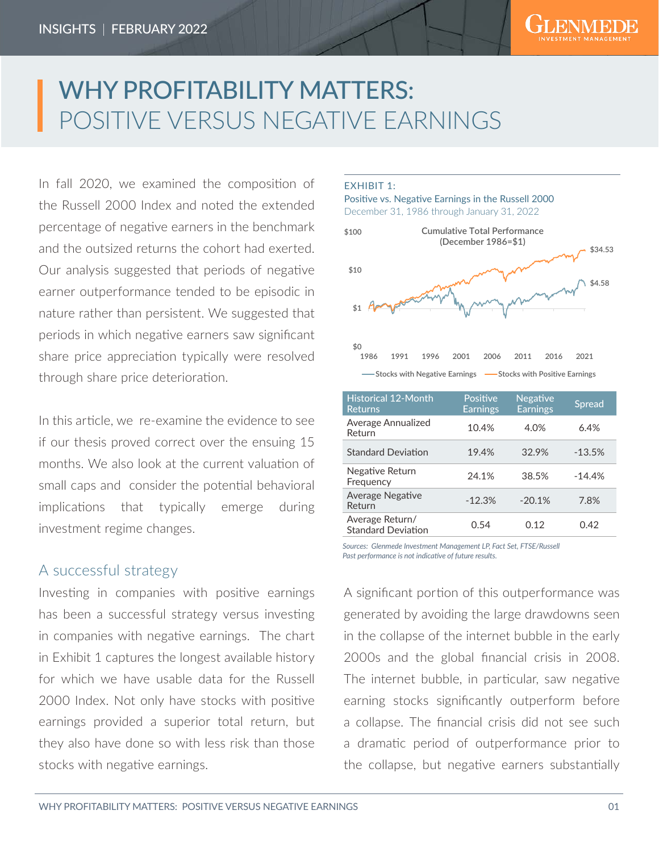# WHY PROFITABILITY MATTERS: POSITIVE VERSUS NEGATIVE EARNINGS

In fall 2020, we examined the composition of the Russell 2000 Index and noted the extended percentage of negative earners in the benchmark and the outsized returns the cohort had exerted. Our analysis suggested that periods of negative earner outperformance tended to be episodic in nature rather than persistent. We suggested that periods in which negative earners saw significant share price appreciation typically were resolved through share price deterioration.

In this article, we re-examine the evidence to see if our thesis proved correct over the ensuing 15 months. We also look at the current valuation of small caps and consider the potential behavioral implications that typically emerge during investment regime changes.

## A successful strategy

Investing in companies with positive earnings has been a successful strategy versus investing in companies with negative earnings. The chart in Exhibit 1 captures the longest available history for which we have usable data for the Russell 2000 Index. Not only have stocks with positive earnings provided a superior total return, but they also have done so with less risk than those stocks with negative earnings.

#### EXHIBIT 1:

#### Positive vs. Negative Earnings in the Russell 2000 December 31, 1986 through January 31, 2022



| <b>Historical 12-Month</b><br><b>Returns</b> | Positive<br>Earnings | <b>Negative</b><br><b>Earnings</b> | <b>Spread</b> |
|----------------------------------------------|----------------------|------------------------------------|---------------|
| Average Annualized<br>Return                 | 10.4%                | 4.0%                               | 6.4%          |
| <b>Standard Deviation</b>                    | 19.4%                | 32.9%                              | $-13.5%$      |
| Negative Return<br>Frequency                 | 24.1%                | 38.5%                              | $-14.4%$      |
| <b>Average Negative</b><br>Return            | $-12.3%$             | $-20.1%$                           | 7.8%          |
| Average Return/<br><b>Standard Deviation</b> | 0.54                 | 0.12                               | 0.42          |

*Sources: Glenmede Investment Management LP, Fact Set, FTSE/Russell Past performance is not indicative of future results.*

A significant portion of this outperformance was generated by avoiding the large drawdowns seen in the collapse of the internet bubble in the early 2000s and the global financial crisis in 2008. The internet bubble, in particular, saw negative earning stocks significantly outperform before a collapse. The financial crisis did not see such a dramatic period of outperformance prior to the collapse, but negative earners substantially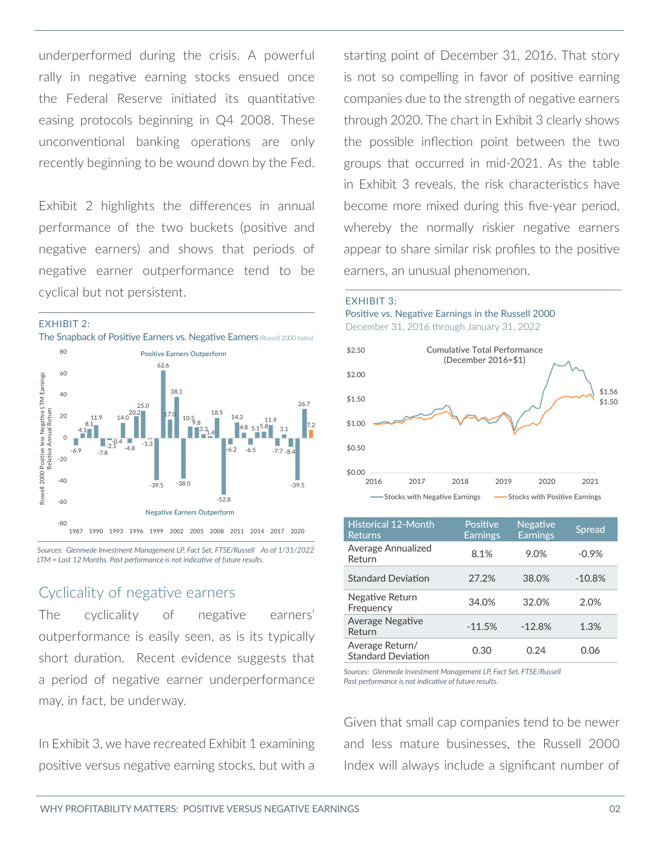underperformed during the crisis. A powerful rally in negative earning stocks ensued once the Federal Reserve initiated its quantitative easing protocols beginning in Q4 2008. These unconventional banking operations are only recently beginning to be wound down by the Fed.

Exhibit 2 highlights the differences in annual performance of the two buckets (positive and negative earners) and shows that periods of negative earner outperformance tend to be cyclical but not persistent.



*Sources: Glenmede Investment Management LP, Fact Set, FTSE/Russell As of 1/31/2022 LTM = Last 12 Months. Past performance is not indicative of future results.*

## Cyclicality of negative earners

The cyclicality of negative earners' outperformance is easily seen, as is its typically short duration. Recent evidence suggests that a period of negative earner underperformance may, in fact, be underway.

In Exhibit 3, we have recreated Exhibit 1 examining positive versus negative earning stocks, but with a starting point of December 31, 2016. That story is not so compelling in favor of positive earning companies due to the strength of negative earners through 2020. The chart in Exhibit 3 clearly shows the possible inflection point between the two groups that occurred in mid-2021. As the table in Exhibit 3 reveals, the risk characteristics have become more mixed during this five-year period, whereby the normally riskier negative earners appear to share similar risk profiles to the positive earners, an unusual phenomenon.







| <b>Historical 12-Month</b><br><b>Returns</b> | Positive<br><b>Earnings</b> | <b>Negative</b><br><b>Earnings</b> | <b>Spread</b> |
|----------------------------------------------|-----------------------------|------------------------------------|---------------|
| Average Annualized<br>Return                 | 8.1%                        | 9.0%                               | $-0.9%$       |
| <b>Standard Deviation</b>                    | 27.2%                       | 38.0%                              | $-10.8%$      |
| Negative Return<br>Frequency                 | 34.0%                       | 32.0%                              | 2.0%          |
| <b>Average Negative</b><br>Return            | $-11.5%$                    | $-12.8%$                           | 1.3%          |
| Average Return/<br><b>Standard Deviation</b> | 0.30                        | በ 24                               | በ በ6          |

*Sources: Glenmede Investment Management LP, Fact Set, FTSE/Russell Past performance is not indicative of future results.*

Given that small cap companies tend to be newer and less mature businesses, the Russell 2000 Index will always include a significant number of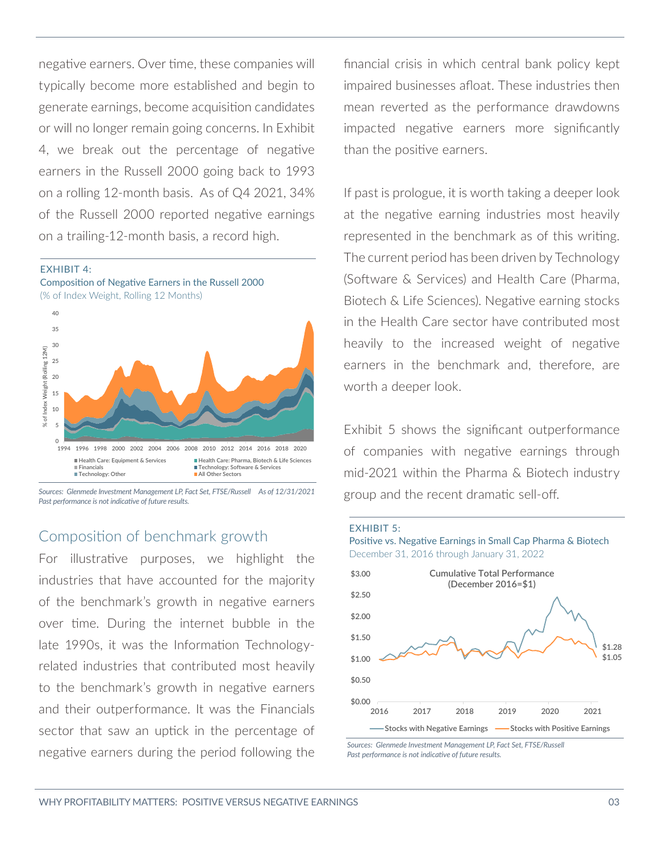negative earners. Over time, these companies will typically become more established and begin to generate earnings, become acquisition candidates or will no longer remain going concerns. In Exhibit 4, we break out the percentage of negative earners in the Russell 2000 going back to 1993 on a rolling 12-month basis. As of Q4 2021, 34% of the Russell 2000 reported negative earnings on a trailing-12-month basis, a record high.





*Sources: Glenmede Investment Management LP, Fact Set, FTSE/Russell As of 12/31/2021 Past performance is not indicative of future results.*

## Composition of benchmark growth

For illustrative purposes, we highlight the industries that have accounted for the majority of the benchmark's growth in negative earners over time. During the internet bubble in the late 1990s, it was the Information Technologyrelated industries that contributed most heavily to the benchmark's growth in negative earners and their outperformance. It was the Financials sector that saw an uptick in the percentage of negative earners during the period following the financial crisis in which central bank policy kept impaired businesses afloat. These industries then mean reverted as the performance drawdowns impacted negative earners more significantly than the positive earners.

If past is prologue, it is worth taking a deeper look at the negative earning industries most heavily represented in the benchmark as of this writing. The current period has been driven by Technology (Software & Services) and Health Care (Pharma, Biotech & Life Sciences). Negative earning stocks in the Health Care sector have contributed most heavily to the increased weight of negative earners in the benchmark and, therefore, are worth a deeper look.

Exhibit 5 shows the significant outperformance of companies with negative earnings through mid-2021 within the Pharma & Biotech industry group and the recent dramatic sell-off.

#### EXHIBIT 5:





*Sources: Glenmede Investment Management LP, Fact Set, FTSE/Russell Past performance is not indicative of future results.*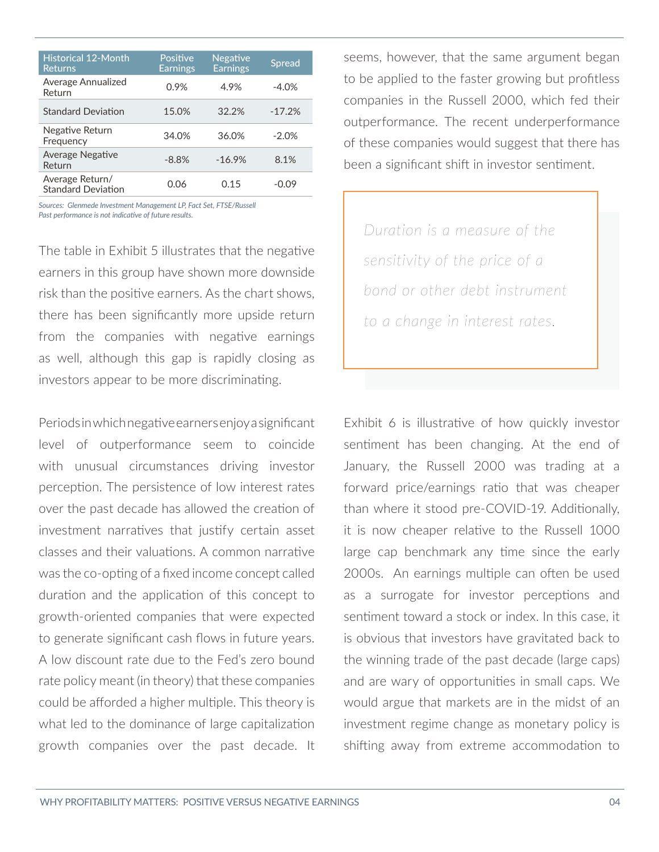| <b>Historical 12-Month</b><br><b>Returns</b> | Positive<br><b>Earnings</b> | Negative<br><b>Earnings</b> | <b>Spread</b> |
|----------------------------------------------|-----------------------------|-----------------------------|---------------|
| Average Annualized<br>Return                 | 0.9%                        | 4.9%                        | $-4.0%$       |
| <b>Standard Deviation</b>                    | 15.0%                       | 32.2%                       | $-17.2%$      |
| Negative Return<br>Frequency                 | 34.0%                       | 36.0%                       | $-2.0%$       |
| <b>Average Negative</b><br>Return            | $-8.8%$                     | $-16.9%$                    | 8.1%          |
| Average Return/<br><b>Standard Deviation</b> | 0.06                        | 0.15                        | $-0.09$       |

*Sources: Glenmede Investment Management LP, Fact Set, FTSE/Russell Past performance is not indicative of future results.*

The table in Exhibit 5 illustrates that the negative earners in this group have shown more downside risk than the positive earners. As the chart shows, there has been significantly more upside return from the companies with negative earnings as well, although this gap is rapidly closing as investors appear to be more discriminating.

Periods in which negative earners enjoy a significant level of outperformance seem to coincide with unusual circumstances driving investor perception. The persistence of low interest rates over the past decade has allowed the creation of investment narratives that justify certain asset classes and their valuations. A common narrative was the co-opting of a fixed income concept called duration and the application of this concept to growth-oriented companies that were expected to generate significant cash flows in future years. A low discount rate due to the Fed's zero bound rate policy meant (in theory) that these companies could be afforded a higher multiple. This theory is what led to the dominance of large capitalization growth companies over the past decade. It seems, however, that the same argument began to be applied to the faster growing but profitless companies in the Russell 2000, which fed their outperformance. The recent underperformance of these companies would suggest that there has been a significant shift in investor sentiment.

*Duration is a measure of the sensitivity of the price of a bond or other debt instrument to a change in interest rates.*

Exhibit 6 is illustrative of how quickly investor sentiment has been changing. At the end of January, the Russell 2000 was trading at a forward price/earnings ratio that was cheaper than where it stood pre-COVID-19. Additionally, it is now cheaper relative to the Russell 1000 large cap benchmark any time since the early 2000s. An earnings multiple can often be used as a surrogate for investor perceptions and sentiment toward a stock or index. In this case, it is obvious that investors have gravitated back to the winning trade of the past decade (large caps) and are wary of opportunities in small caps. We would argue that markets are in the midst of an investment regime change as monetary policy is shifting away from extreme accommodation to